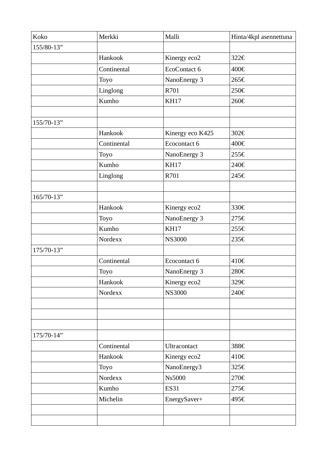| Koko       | Merkki      | Malli            | Hinta/4kpl asennettuna |
|------------|-------------|------------------|------------------------|
| 155/80-13" |             |                  |                        |
|            | Hankook     | Kinergy eco2     | 322€                   |
|            | Continental | EcoContact 6     | 400€                   |
|            | <b>Toyo</b> | NanoEnergy 3     | 265€                   |
|            | Linglong    | R701             | 250€                   |
|            | Kumho       | <b>KH17</b>      | 260€                   |
|            |             |                  |                        |
| 155/70-13" |             |                  |                        |
|            | Hankook     | Kinergy eco K425 | 302€                   |
|            | Continental | Ecocontact 6     | 400€                   |
|            | Toyo        | NanoEnergy 3     | 255€                   |
|            | Kumho       | <b>KH17</b>      | 240€                   |
|            | Linglong    | R701             | 245€                   |
|            |             |                  |                        |
| 165/70-13" |             |                  |                        |
|            | Hankook     | Kinergy eco2     | 330€                   |
|            | <b>Toyo</b> | NanoEnergy 3     | 275€                   |
|            | Kumho       | <b>KH17</b>      | 255€                   |
|            | Nordexx     | <b>NS3000</b>    | 235€                   |
| 175/70-13" |             |                  |                        |
|            | Continental | Ecocontact 6     | 410€                   |
|            | Toyo        | NanoEnergy 3     | 280€                   |
|            | Hankook     | Kinergy eco2     | 329€                   |
|            | Nordexx     | <b>NS3000</b>    | 240€                   |
|            |             |                  |                        |
|            |             |                  |                        |
|            |             |                  |                        |
| 175/70-14" |             |                  |                        |
|            | Continental | Ultracontact     | 388€                   |
|            | Hankook     | Kinergy eco2     | 410€                   |
|            | <b>Toyo</b> | NanoEnergy3      | 325€                   |
|            | Nordexx     | <b>Ns5000</b>    | 270€                   |
|            | Kumho       | <b>ES31</b>      | 275€                   |
|            | Michelin    | EnergySaver+     | 495€                   |
|            |             |                  |                        |
|            |             |                  |                        |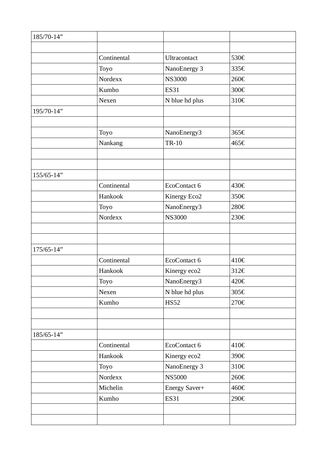| 185/70-14" |             |                |      |
|------------|-------------|----------------|------|
|            |             |                |      |
|            | Continental | Ultracontact   | 530€ |
|            | Toyo        | NanoEnergy 3   | 335€ |
|            | Nordexx     | <b>NS3000</b>  | 260€ |
|            | Kumho       | <b>ES31</b>    | 300€ |
|            | Nexen       | N blue hd plus | 310€ |
| 195/70-14" |             |                |      |
|            |             |                |      |
|            | <b>Toyo</b> | NanoEnergy3    | 365€ |
|            | Nankang     | <b>TR-10</b>   | 465€ |
|            |             |                |      |
|            |             |                |      |
| 155/65-14" |             |                |      |
|            | Continental | EcoContact 6   | 430€ |
|            | Hankook     | Kinergy Eco2   | 350€ |
|            | Toyo        | NanoEnergy3    | 280€ |
|            | Nordexx     | <b>NS3000</b>  | 230€ |
|            |             |                |      |
|            |             |                |      |
| 175/65-14" |             |                |      |
|            | Continental | EcoContact 6   | 410€ |
|            | Hankook     | Kinergy eco2   | 312€ |
|            | Toyo        | NanoEnergy3    | 420€ |
|            | Nexen       | N blue hd plus | 305€ |
|            | Kumho       | <b>HS52</b>    | 270€ |
|            |             |                |      |
|            |             |                |      |
| 185/65-14" |             |                |      |
|            | Continental | EcoContact 6   | 410€ |
|            | Hankook     | Kinergy eco2   | 390€ |
|            | Toyo        | NanoEnergy 3   | 310€ |
|            | Nordexx     | <b>NS5000</b>  | 260€ |
|            | Michelin    | Energy Saver+  | 460€ |
|            | Kumho       | <b>ES31</b>    | 290€ |
|            |             |                |      |
|            |             |                |      |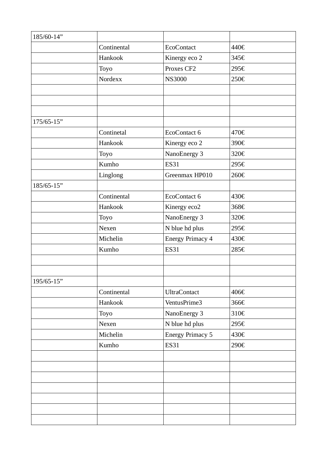| 185/60-14" |             |                         |      |
|------------|-------------|-------------------------|------|
|            | Continental | <b>EcoContact</b>       | 440€ |
|            | Hankook     | Kinergy eco 2           | 345€ |
|            | Toyo        | Proxes CF2              | 295€ |
|            | Nordexx     | <b>NS3000</b>           | 250€ |
|            |             |                         |      |
|            |             |                         |      |
|            |             |                         |      |
| 175/65-15" |             |                         |      |
|            | Continetal  | EcoContact 6            | 470€ |
|            | Hankook     | Kinergy eco 2           | 390€ |
|            | Toyo        | NanoEnergy 3            | 320€ |
|            | Kumho       | <b>ES31</b>             | 295€ |
|            | Linglong    | Greenmax HP010          | 260€ |
| 185/65-15" |             |                         |      |
|            | Continental | EcoContact 6            | 430€ |
|            | Hankook     | Kinergy eco2            | 368€ |
|            | <b>Toyo</b> | NanoEnergy 3            | 320€ |
|            | Nexen       | N blue hd plus          | 295€ |
|            | Michelin    | <b>Energy Primacy 4</b> | 430€ |
|            | Kumho       | <b>ES31</b>             | 285€ |
|            |             |                         |      |
|            |             |                         |      |
| 195/65-15" |             |                         |      |
|            | Continental | <b>UltraContact</b>     | 406€ |
|            | Hankook     | VentusPrime3            | 366€ |
|            | Toyo        | NanoEnergy 3            | 310€ |
|            | Nexen       | N blue hd plus          | 295€ |
|            | Michelin    | <b>Energy Primacy 5</b> | 430€ |
|            | Kumho       | <b>ES31</b>             | 290€ |
|            |             |                         |      |
|            |             |                         |      |
|            |             |                         |      |
|            |             |                         |      |
|            |             |                         |      |
|            |             |                         |      |
|            |             |                         |      |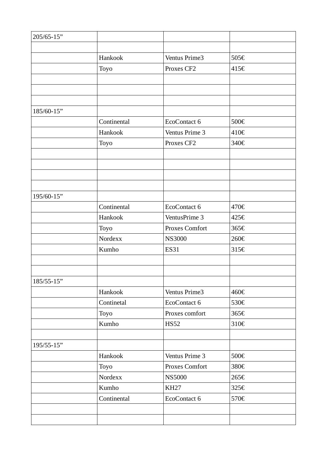| 205/65-15" |             |                       |      |
|------------|-------------|-----------------------|------|
|            |             |                       |      |
|            | Hankook     | Ventus Prime3         | 505€ |
|            | Toyo        | Proxes CF2            | 415€ |
|            |             |                       |      |
|            |             |                       |      |
|            |             |                       |      |
| 185/60-15" |             |                       |      |
|            | Continental | EcoContact 6          | 500€ |
|            | Hankook     | Ventus Prime 3        | 410€ |
|            | Toyo        | Proxes CF2            | 340€ |
|            |             |                       |      |
|            |             |                       |      |
|            |             |                       |      |
|            |             |                       |      |
| 195/60-15" |             |                       |      |
|            | Continental | EcoContact 6          | 470€ |
|            | Hankook     | VentusPrime 3         | 425€ |
|            | Toyo        | <b>Proxes Comfort</b> | 365€ |
|            | Nordexx     | <b>NS3000</b>         | 260€ |
|            | Kumho       | <b>ES31</b>           | 315€ |
|            |             |                       |      |
|            |             |                       |      |
| 185/55-15" |             |                       |      |
|            | Hankook     | Ventus Prime3         | 460€ |
|            | Continetal  | EcoContact 6          | 530€ |
|            | Toyo        | Proxes comfort        | 365€ |
|            | Kumho       | <b>HS52</b>           | 310€ |
|            |             |                       |      |
| 195/55-15" |             |                       |      |
|            | Hankook     | Ventus Prime 3        | 500€ |
|            | <b>Toyo</b> | Proxes Comfort        | 380€ |
|            | Nordexx     | <b>NS5000</b>         | 265€ |
|            | Kumho       | KH <sub>27</sub>      | 325€ |
|            | Continental | EcoContact 6          | 570€ |
|            |             |                       |      |
|            |             |                       |      |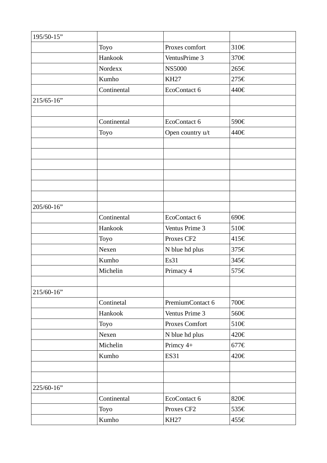| 195/50-15" |             |                       |      |
|------------|-------------|-----------------------|------|
|            | Toyo        | Proxes comfort        | 310€ |
|            | Hankook     | VentusPrime 3         | 370€ |
|            | Nordexx     | <b>NS5000</b>         | 265€ |
|            | Kumho       | KH <sub>27</sub>      | 275€ |
|            | Continental | EcoContact 6          | 440€ |
| 215/65-16" |             |                       |      |
|            |             |                       |      |
|            | Continental | EcoContact 6          | 590€ |
|            | Toyo        | Open country u/t      | 440€ |
|            |             |                       |      |
|            |             |                       |      |
|            |             |                       |      |
|            |             |                       |      |
|            |             |                       |      |
|            |             |                       |      |
| 205/60-16" |             |                       |      |
|            | Continental | EcoContact 6          | 690€ |
|            | Hankook     | Ventus Prime 3        | 510€ |
|            | <b>Toyo</b> | Proxes CF2            | 415€ |
|            | Nexen       | N blue hd plus        | 375€ |
|            | Kumho       | Es31                  | 345€ |
|            | Michelin    | Primacy 4             | 575€ |
|            |             |                       |      |
| 215/60-16" |             |                       |      |
|            | Continetal  | PremiumContact 6      | 700€ |
|            | Hankook     | Ventus Prime 3        | 560€ |
|            | <b>Toyo</b> | <b>Proxes Comfort</b> | 510€ |
|            | Nexen       | N blue hd plus        | 420€ |
|            | Michelin    | Primcy 4+             | 677€ |
|            | Kumho       | <b>ES31</b>           | 420€ |
|            |             |                       |      |
|            |             |                       |      |
| 225/60-16" |             |                       |      |
|            | Continental | EcoContact 6          | 820€ |
|            | Toyo        | Proxes CF2            | 535€ |
|            | Kumho       | <b>KH27</b>           | 455€ |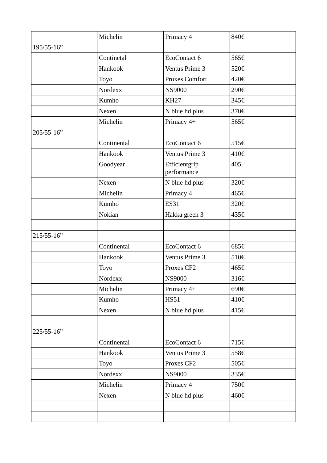|            | Michelin       | Primacy 4                    | 840€ |
|------------|----------------|------------------------------|------|
| 195/55-16" |                |                              |      |
|            | Continetal     | EcoContact 6                 | 565€ |
|            | Hankook        | Ventus Prime 3               | 520€ |
|            | <b>Toyo</b>    | <b>Proxes Comfort</b>        | 420€ |
|            | <b>Nordexx</b> | <b>NS9000</b>                | 290€ |
|            | Kumho          | <b>KH27</b>                  | 345€ |
|            | Nexen          | N blue hd plus               | 370€ |
|            | Michelin       | Primacy 4+                   | 565€ |
| 205/55-16" |                |                              |      |
|            | Continental    | EcoContact 6                 | 515€ |
|            | Hankook        | Ventus Prime 3               | 410€ |
|            | Goodyear       | Efficientgrip<br>performance | 405  |
|            | Nexen          | N blue hd plus               | 320€ |
|            | Michelin       | Primacy 4                    | 465€ |
|            | Kumho          | <b>ES31</b>                  | 320€ |
|            | Nokian         | Hakka green 3                | 435€ |
|            |                |                              |      |
| 215/55-16" |                |                              |      |
|            | Continental    | EcoContact 6                 | 685€ |
|            | Hankook        | Ventus Prime 3               | 510€ |
|            | Toyo           | Proxes CF2                   | 465€ |
|            | Nordexx        | <b>NS9000</b>                | 316€ |
|            | Michelin       | Primacy 4+                   | 690€ |
|            | Kumho          | <b>HS51</b>                  | 410€ |
|            | Nexen          | N blue hd plus               | 415€ |
|            |                |                              |      |
| 225/55-16" |                |                              |      |
|            | Continental    | EcoContact 6                 | 715€ |
|            | Hankook        | Ventus Prime 3               | 558€ |
|            | <b>Toyo</b>    | Proxes CF2                   | 505€ |
|            | Nordexx        | <b>NS9000</b>                | 335€ |
|            | Michelin       | Primacy 4                    | 750€ |
|            | Nexen          | N blue hd plus               | 460€ |
|            |                |                              |      |
|            |                |                              |      |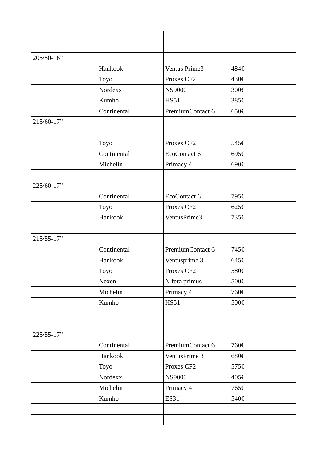| 205/50-16" |                |                  |      |
|------------|----------------|------------------|------|
|            | Hankook        | Ventus Prime3    | 484€ |
|            | Toyo           | Proxes CF2       | 430€ |
|            | <b>Nordexx</b> | <b>NS9000</b>    | 300€ |
|            | Kumho          | <b>HS51</b>      | 385€ |
|            | Continental    | PremiumContact 6 | 650€ |
| 215/60-17" |                |                  |      |
|            |                |                  |      |
|            | Toyo           | Proxes CF2       | 545€ |
|            | Continental    | EcoContact 6     | 695€ |
|            | Michelin       | Primacy 4        | 690€ |
|            |                |                  |      |
| 225/60-17" |                |                  |      |
|            | Continental    | EcoContact 6     | 795€ |
|            | Toyo           | Proxes CF2       | 625€ |
|            | Hankook        | VentusPrime3     | 735€ |
|            |                |                  |      |
| 215/55-17" |                |                  |      |
|            | Continental    | PremiumContact 6 | 745€ |
|            | Hankook        | Ventusprime 3    | 645€ |
|            | <b>Toyo</b>    | Proxes CF2       | 580€ |
|            | Nexen          | N fera primus    | 500€ |
|            | Michelin       | Primacy 4        | 760€ |
|            | Kumho          | <b>HS51</b>      | 500€ |
|            |                |                  |      |
|            |                |                  |      |
| 225/55-17" |                |                  |      |
|            | Continental    | PremiumContact 6 | 760€ |
|            | Hankook        | VentusPrime 3    | 680€ |
|            | <b>Toyo</b>    | Proxes CF2       | 575€ |
|            | Nordexx        | <b>NS9000</b>    | 405€ |
|            | Michelin       | Primacy 4        | 765€ |
|            | Kumho          | <b>ES31</b>      | 540€ |
|            |                |                  |      |
|            |                |                  |      |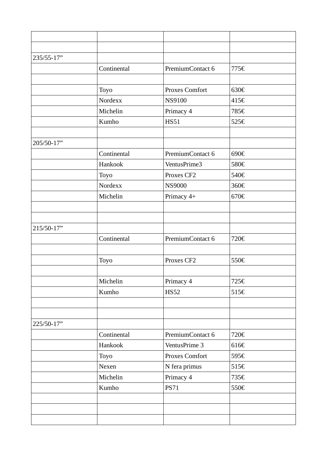| 235/55-17" |                |                       |      |
|------------|----------------|-----------------------|------|
|            | Continental    | PremiumContact 6      | 775€ |
|            |                |                       |      |
|            | <b>Toyo</b>    | <b>Proxes Comfort</b> | 630€ |
|            | Nordexx        | <b>NS9100</b>         | 415€ |
|            | Michelin       | Primacy 4             | 785€ |
|            | Kumho          | <b>HS51</b>           | 525€ |
|            |                |                       |      |
| 205/50-17" |                |                       |      |
|            | Continental    | PremiumContact 6      | 690€ |
|            | Hankook        | VentusPrime3          | 580€ |
|            | Toyo           | Proxes CF2            | 540€ |
|            | <b>Nordexx</b> | <b>NS9000</b>         | 360€ |
|            | Michelin       | Primacy 4+            | 670€ |
|            |                |                       |      |
|            |                |                       |      |
| 215/50-17" |                |                       |      |
|            | Continental    | PremiumContact 6      | 720€ |
|            |                |                       |      |
|            | <b>Toyo</b>    | Proxes CF2            | 550€ |
|            |                |                       |      |
|            | Michelin       | Primacy 4             | 725€ |
|            | Kumho          | <b>HS52</b>           | 515€ |
|            |                |                       |      |
|            |                |                       |      |
| 225/50-17" |                |                       |      |
|            | Continental    | PremiumContact 6      | 720€ |
|            | Hankook        | VentusPrime 3         | 616€ |
|            | Toyo           | <b>Proxes Comfort</b> | 595€ |
|            | Nexen          | N fera primus         | 515€ |
|            | Michelin       | Primacy 4             | 735€ |
|            | Kumho          | <b>PS71</b>           | 550€ |
|            |                |                       |      |
|            |                |                       |      |
|            |                |                       |      |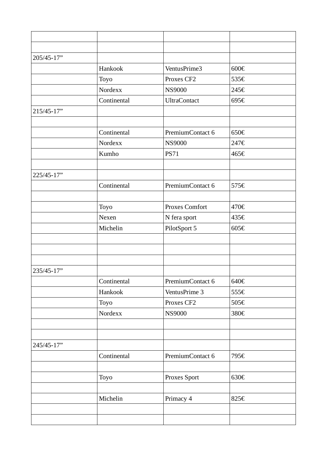| 205/45-17" |             |                       |      |
|------------|-------------|-----------------------|------|
|            | Hankook     | VentusPrime3          | 600€ |
|            | Toyo        | Proxes CF2            | 535€ |
|            | Nordexx     | <b>NS9000</b>         | 245€ |
|            | Continental | <b>UltraContact</b>   | 695€ |
| 215/45-17" |             |                       |      |
|            |             |                       |      |
|            | Continental | PremiumContact 6      | 650€ |
|            | Nordexx     | <b>NS9000</b>         | 247€ |
|            | Kumho       | <b>PS71</b>           | 465€ |
|            |             |                       |      |
| 225/45-17" |             |                       |      |
|            | Continental | PremiumContact 6      | 575€ |
|            |             |                       |      |
|            | <b>Toyo</b> | <b>Proxes Comfort</b> | 470€ |
|            | Nexen       | N fera sport          | 435€ |
|            | Michelin    | PilotSport 5          | 605€ |
|            |             |                       |      |
|            |             |                       |      |
|            |             |                       |      |
| 235/45-17" |             |                       |      |
|            | Continental | PremiumContact 6      | 640€ |
|            | Hankook     | VentusPrime 3         | 555€ |
|            | Toyo        | Proxes CF2            | 505€ |
|            | Nordexx     | <b>NS9000</b>         | 380€ |
|            |             |                       |      |
|            |             |                       |      |
| 245/45-17" |             |                       |      |
|            | Continental | PremiumContact 6      | 795€ |
|            |             |                       |      |
|            | <b>Toyo</b> | Proxes Sport          | 630€ |
|            |             |                       |      |
|            | Michelin    | Primacy 4             | 825€ |
|            |             |                       |      |
|            |             |                       |      |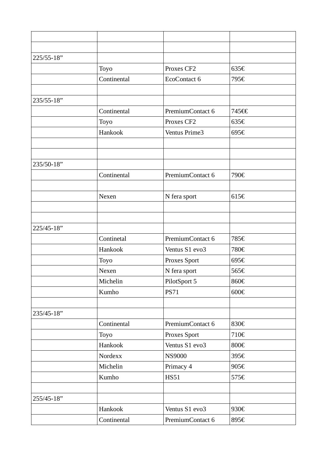| 225/55-18" |             |                  |       |
|------------|-------------|------------------|-------|
|            | Toyo        | Proxes CF2       | 635€  |
|            | Continental | EcoContact 6     | 795€  |
|            |             |                  |       |
| 235/55-18" |             |                  |       |
|            | Continental | PremiumContact 6 | 745€€ |
|            | Toyo        | Proxes CF2       | 635€  |
|            | Hankook     | Ventus Prime3    | 695€  |
|            |             |                  |       |
|            |             |                  |       |
| 235/50-18" |             |                  |       |
|            | Continental | PremiumContact 6 | 790€  |
|            |             |                  |       |
|            | Nexen       | N fera sport     | 615€  |
|            |             |                  |       |
|            |             |                  |       |
| 225/45-18" |             |                  |       |
|            | Continetal  | PremiumContact 6 | 785€  |
|            | Hankook     | Ventus S1 evo3   | 780€  |
|            | Toyo        | Proxes Sport     | 695€  |
|            | Nexen       | N fera sport     | 565€  |
|            | Michelin    | PilotSport 5     | 860€  |
|            | Kumho       | <b>PS71</b>      | 600€  |
|            |             |                  |       |
| 235/45-18" |             |                  |       |
|            | Continental | PremiumContact 6 | 830€  |
|            | <b>Toyo</b> | Proxes Sport     | 710€  |
|            | Hankook     | Ventus S1 evo3   | 800€  |
|            | Nordexx     | <b>NS9000</b>    | 395€  |
|            | Michelin    | Primacy 4        | 905€  |
|            | Kumho       | <b>HS51</b>      | 575€  |
|            |             |                  |       |
| 255/45-18" |             |                  |       |
|            | Hankook     | Ventus S1 evo3   | 930€  |
|            | Continental | PremiumContact 6 | 895€  |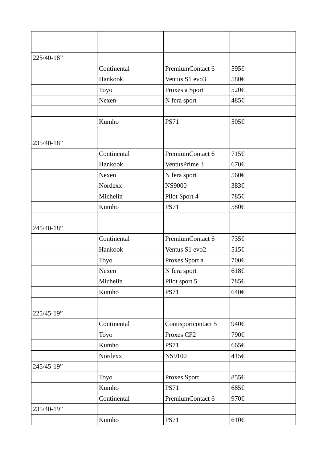| 225/40-18" |             |                     |      |
|------------|-------------|---------------------|------|
|            | Continental | PremiumContact 6    | 595€ |
|            | Hankook     | Ventus S1 evo3      | 580€ |
|            | Toyo        | Proxes a Sport      | 520€ |
|            | Nexen       | N fera sport        | 485€ |
|            |             |                     |      |
|            | Kumho       | <b>PS71</b>         | 505€ |
|            |             |                     |      |
| 235/40-18" |             |                     |      |
|            | Continental | PremiumContact 6    | 715€ |
|            | Hankook     | VentusPrime 3       | 670€ |
|            | Nexen       | N fera sport        | 560€ |
|            | Nordexx     | <b>NS9000</b>       | 383€ |
|            | Michelin    | Pilot Sport 4       | 785€ |
|            | Kumho       | <b>PS71</b>         | 580€ |
|            |             |                     |      |
| 245/40-18" |             |                     |      |
|            | Continental | PremiumContact 6    | 735€ |
|            | Hankook     | Ventus S1 evo2      | 515€ |
|            | <b>Toyo</b> | Proxes Sport a      | 700€ |
|            | Nexen       | N fera sport        | 618€ |
|            | Michelin    | Pilot sport 5       | 785€ |
|            | Kumho       | <b>PS71</b>         | 640€ |
|            |             |                     |      |
| 225/45-19" |             |                     |      |
|            | Continental | Contisportcontact 5 | 940€ |
|            | <b>Toyo</b> | Proxes CF2          | 790€ |
|            | Kumho       | <b>PS71</b>         | 665€ |
|            | Nordexx     | <b>NS9100</b>       | 415€ |
| 245/45-19" |             |                     |      |
|            | <b>Toyo</b> | Proxes Sport        | 855€ |
|            | Kumho       | <b>PS71</b>         | 685€ |
|            | Continental | PremiumContact 6    | 970€ |
| 235/40-19" |             |                     |      |
|            | Kumho       | <b>PS71</b>         | 610€ |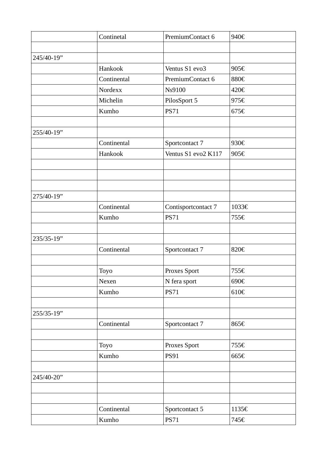|            | Continetal  | PremiumContact 6    | 940€  |
|------------|-------------|---------------------|-------|
|            |             |                     |       |
| 245/40-19" |             |                     |       |
|            | Hankook     | Ventus S1 evo3      | 905€  |
|            | Continental | PremiumContact 6    | 880€  |
|            | Nordexx     | Ns9100              | 420€  |
|            | Michelin    | PilosSport 5        | 975€  |
|            | Kumho       | <b>PS71</b>         | 675€  |
|            |             |                     |       |
| 255/40-19" |             |                     |       |
|            | Continental | Sportcontact 7      | 930€  |
|            | Hankook     | Ventus S1 evo2 K117 | 905€  |
|            |             |                     |       |
|            |             |                     |       |
|            |             |                     |       |
| 275/40-19" |             |                     |       |
|            | Continental | Contisportcontact 7 | 1033€ |
|            | Kumho       | <b>PS71</b>         | 755€  |
|            |             |                     |       |
| 235/35-19" |             |                     |       |
|            | Continental | Sportcontact 7      | 820€  |
|            |             |                     |       |
|            | Toyo        | Proxes Sport        | 755€  |
|            | Nexen       | N fera sport        | 690€  |
|            | Kumho       | <b>PS71</b>         | 610€  |
|            |             |                     |       |
| 255/35-19" |             |                     |       |
|            | Continental | Sportcontact 7      | 865€  |
|            |             |                     |       |
|            | Toyo        | Proxes Sport        | 755€  |
|            | Kumho       | <b>PS91</b>         | 665€  |
|            |             |                     |       |
| 245/40-20" |             |                     |       |
|            |             |                     |       |
|            |             |                     |       |
|            | Continental | Sportcontact 5      | 1135€ |
|            | Kumho       | <b>PS71</b>         | 745€  |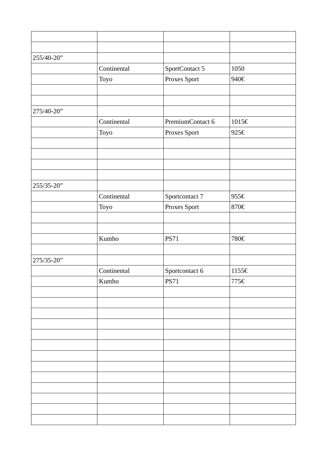| 255/40-20" |             |                  |                             |
|------------|-------------|------------------|-----------------------------|
|            | Continental | SportContact 5   | 1050                        |
|            | Toyo        | Proxes Sport     | 940€                        |
|            |             |                  |                             |
|            |             |                  |                             |
| 275/40-20" |             |                  |                             |
|            | Continental | PremiumContact 6 | $1015\boldsymbol{\epsilon}$ |
|            | Toyo        | Proxes Sport     | 925€                        |
|            |             |                  |                             |
|            |             |                  |                             |
|            |             |                  |                             |
|            |             |                  |                             |
| 255/35-20" |             |                  |                             |
|            | Continental | Sportcontact 7   | 955€                        |
|            | Toyo        | Proxes Sport     | 870€                        |
|            |             |                  |                             |
|            |             |                  |                             |
|            | Kumho       | <b>PS71</b>      | 780€                        |
|            |             |                  |                             |
| 275/35-20" |             |                  |                             |
|            | Continental | Sportcontact 6   | 1155€                       |
|            | Kumho       | <b>PS71</b>      | 775€                        |
|            |             |                  |                             |
|            |             |                  |                             |
|            |             |                  |                             |
|            |             |                  |                             |
|            |             |                  |                             |
|            |             |                  |                             |
|            |             |                  |                             |
|            |             |                  |                             |
|            |             |                  |                             |
|            |             |                  |                             |
|            |             |                  |                             |
|            |             |                  |                             |
|            |             |                  |                             |